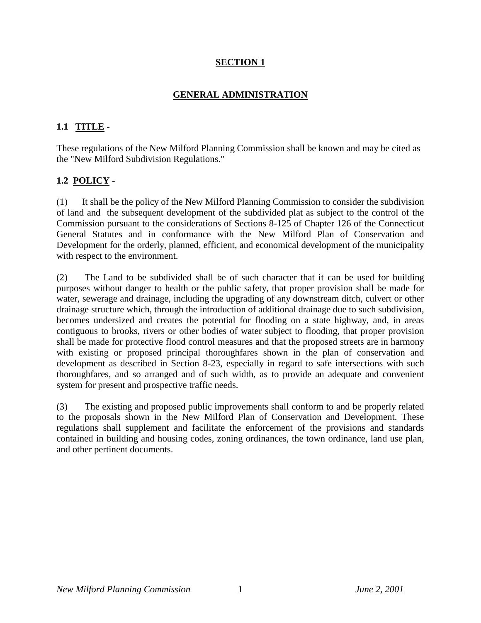# **SECTION 1**

# **GENERAL ADMINISTRATION**

## **1.1 TITLE -**

These regulations of the New Milford Planning Commission shall be known and may be cited as the "New Milford Subdivision Regulations."

### **1.2 POLICY -**

(1) It shall be the policy of the New Milford Planning Commission to consider the subdivision of land and the subsequent development of the subdivided plat as subject to the control of the Commission pursuant to the considerations of Sections 8-125 of Chapter 126 of the Connecticut General Statutes and in conformance with the New Milford Plan of Conservation and Development for the orderly, planned, efficient, and economical development of the municipality with respect to the environment.

(2) The Land to be subdivided shall be of such character that it can be used for building purposes without danger to health or the public safety, that proper provision shall be made for water, sewerage and drainage, including the upgrading of any downstream ditch, culvert or other drainage structure which, through the introduction of additional drainage due to such subdivision, becomes undersized and creates the potential for flooding on a state highway, and, in areas contiguous to brooks, rivers or other bodies of water subject to flooding, that proper provision shall be made for protective flood control measures and that the proposed streets are in harmony with existing or proposed principal thoroughfares shown in the plan of conservation and development as described in Section 8-23, especially in regard to safe intersections with such thoroughfares, and so arranged and of such width, as to provide an adequate and convenient system for present and prospective traffic needs.

(3) The existing and proposed public improvements shall conform to and be properly related to the proposals shown in the New Milford Plan of Conservation and Development. These regulations shall supplement and facilitate the enforcement of the provisions and standards contained in building and housing codes, zoning ordinances, the town ordinance, land use plan, and other pertinent documents.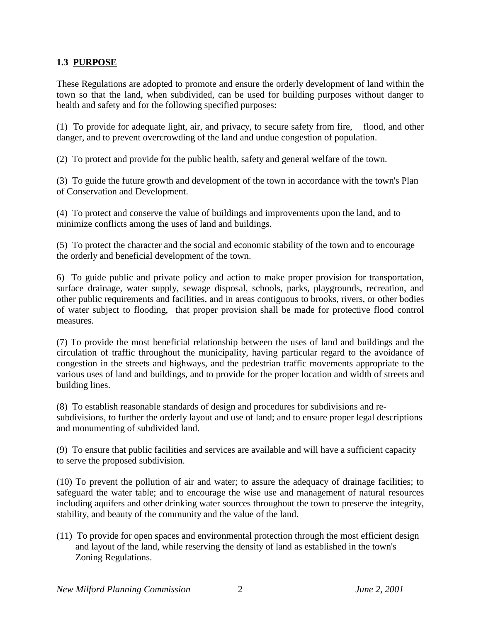## **1.3 PURPOSE** –

These Regulations are adopted to promote and ensure the orderly development of land within the town so that the land, when subdivided, can be used for building purposes without danger to health and safety and for the following specified purposes:

(1) To provide for adequate light, air, and privacy, to secure safety from fire, flood, and other danger, and to prevent overcrowding of the land and undue congestion of population.

(2) To protect and provide for the public health, safety and general welfare of the town.

(3) To guide the future growth and development of the town in accordance with the town's Plan of Conservation and Development.

(4) To protect and conserve the value of buildings and improvements upon the land, and to minimize conflicts among the uses of land and buildings.

(5) To protect the character and the social and economic stability of the town and to encourage the orderly and beneficial development of the town.

6) To guide public and private policy and action to make proper provision for transportation, surface drainage, water supply, sewage disposal, schools, parks, playgrounds, recreation, and other public requirements and facilities, and in areas contiguous to brooks, rivers, or other bodies of water subject to flooding, that proper provision shall be made for protective flood control measures.

(7) To provide the most beneficial relationship between the uses of land and buildings and the circulation of traffic throughout the municipality, having particular regard to the avoidance of congestion in the streets and highways, and the pedestrian traffic movements appropriate to the various uses of land and buildings, and to provide for the proper location and width of streets and building lines.

(8) To establish reasonable standards of design and procedures for subdivisions and resubdivisions, to further the orderly layout and use of land; and to ensure proper legal descriptions and monumenting of subdivided land.

(9) To ensure that public facilities and services are available and will have a sufficient capacity to serve the proposed subdivision.

(10) To prevent the pollution of air and water; to assure the adequacy of drainage facilities; to safeguard the water table; and to encourage the wise use and management of natural resources including aquifers and other drinking water sources throughout the town to preserve the integrity, stability, and beauty of the community and the value of the land.

(11) To provide for open spaces and environmental protection through the most efficient design and layout of the land, while reserving the density of land as established in the town's Zoning Regulations.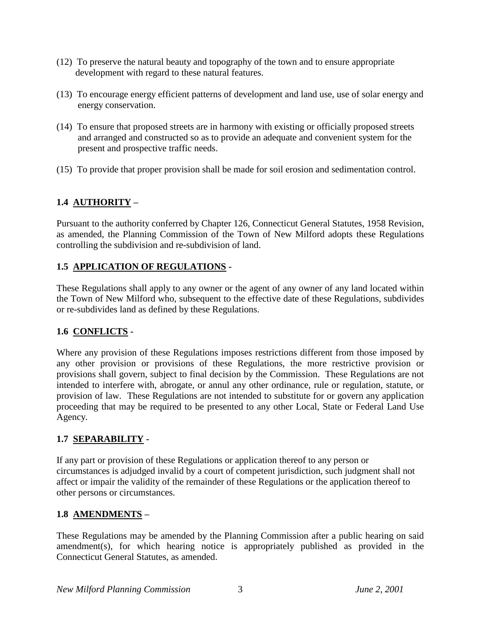- (12) To preserve the natural beauty and topography of the town and to ensure appropriate development with regard to these natural features.
- (13) To encourage energy efficient patterns of development and land use, use of solar energy and energy conservation.
- (14) To ensure that proposed streets are in harmony with existing or officially proposed streets and arranged and constructed so as to provide an adequate and convenient system for the present and prospective traffic needs.
- (15) To provide that proper provision shall be made for soil erosion and sedimentation control.

# **1.4 AUTHORITY –**

Pursuant to the authority conferred by Chapter 126, Connecticut General Statutes, 1958 Revision, as amended, the Planning Commission of the Town of New Milford adopts these Regulations controlling the subdivision and re-subdivision of land.

## **1.5 APPLICATION OF REGULATIONS -**

These Regulations shall apply to any owner or the agent of any owner of any land located within the Town of New Milford who, subsequent to the effective date of these Regulations, subdivides or re-subdivides land as defined by these Regulations.

# **1.6 CONFLICTS -**

Where any provision of these Regulations imposes restrictions different from those imposed by any other provision or provisions of these Regulations, the more restrictive provision or provisions shall govern, subject to final decision by the Commission. These Regulations are not intended to interfere with, abrogate, or annul any other ordinance, rule or regulation, statute, or provision of law. These Regulations are not intended to substitute for or govern any application proceeding that may be required to be presented to any other Local, State or Federal Land Use Agency.

### **1.7 SEPARABILITY -**

If any part or provision of these Regulations or application thereof to any person or circumstances is adjudged invalid by a court of competent jurisdiction, such judgment shall not affect or impair the validity of the remainder of these Regulations or the application thereof to other persons or circumstances.

### **1.8 AMENDMENTS –**

These Regulations may be amended by the Planning Commission after a public hearing on said amendment(s), for which hearing notice is appropriately published as provided in the Connecticut General Statutes, as amended.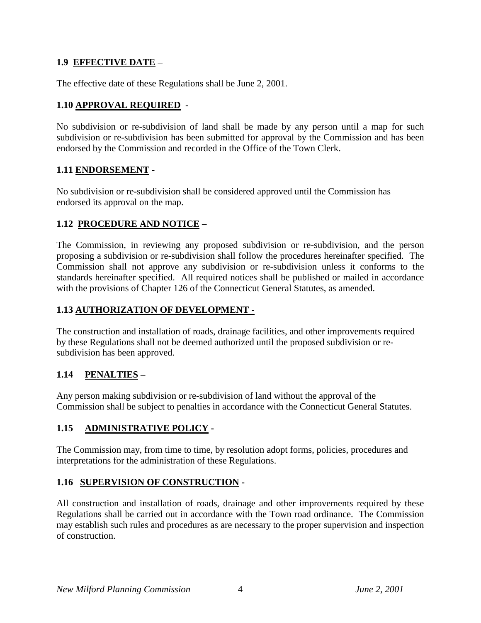## **1.9 EFFECTIVE DATE –**

The effective date of these Regulations shall be June 2, 2001.

## **1.10 APPROVAL REQUIRED** -

No subdivision or re-subdivision of land shall be made by any person until a map for such subdivision or re-subdivision has been submitted for approval by the Commission and has been endorsed by the Commission and recorded in the Office of the Town Clerk.

### **1.11 ENDORSEMENT -**

No subdivision or re-subdivision shall be considered approved until the Commission has endorsed its approval on the map.

### **1.12 PROCEDURE AND NOTICE –**

The Commission, in reviewing any proposed subdivision or re-subdivision, and the person proposing a subdivision or re-subdivision shall follow the procedures hereinafter specified. The Commission shall not approve any subdivision or re-subdivision unless it conforms to the standards hereinafter specified. All required notices shall be published or mailed in accordance with the provisions of Chapter 126 of the Connecticut General Statutes, as amended.

## **1.13 AUTHORIZATION OF DEVELOPMENT -**

The construction and installation of roads, drainage facilities, and other improvements required by these Regulations shall not be deemed authorized until the proposed subdivision or resubdivision has been approved.

# **1.14 PENALTIES –**

Any person making subdivision or re-subdivision of land without the approval of the Commission shall be subject to penalties in accordance with the Connecticut General Statutes.

# **1.15 ADMINISTRATIVE POLICY -**

The Commission may, from time to time, by resolution adopt forms, policies, procedures and interpretations for the administration of these Regulations.

### **1.16 SUPERVISION OF CONSTRUCTION -**

All construction and installation of roads, drainage and other improvements required by these Regulations shall be carried out in accordance with the Town road ordinance. The Commission may establish such rules and procedures as are necessary to the proper supervision and inspection of construction.